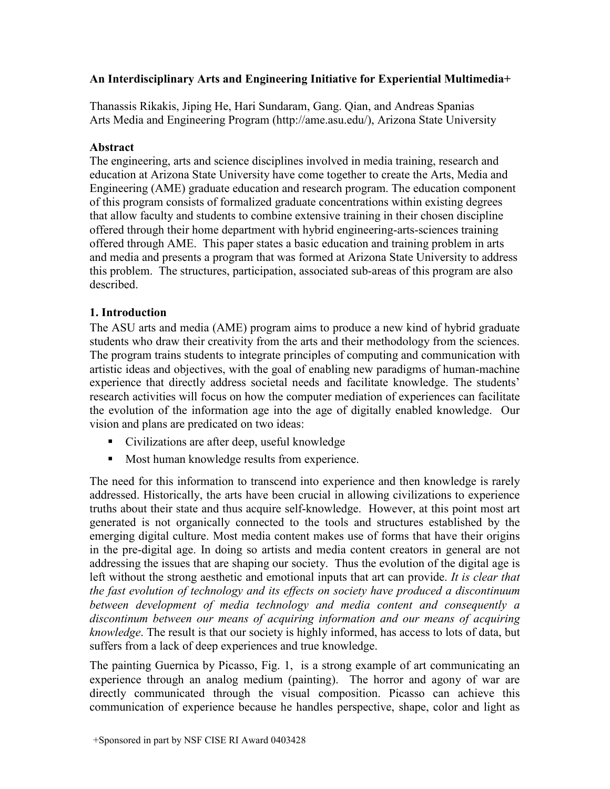# An Interdisciplinary Arts and Engineering Initiative for Experiential Multimedia+

Thanassis Rikakis, Jiping He, Hari Sundaram, Gang. Qian, and Andreas Spanias Arts Media and Engineering Program (http://ame.asu.edu/), Arizona State University

# Abstract

The engineering, arts and science disciplines involved in media training, research and education at Arizona State University have come together to create the Arts, Media and Engineering (AME) graduate education and research program. The education component of this program consists of formalized graduate concentrations within existing degrees that allow faculty and students to combine extensive training in their chosen discipline offered through their home department with hybrid engineering-arts-sciences training offered through AME. This paper states a basic education and training problem in arts and media and presents a program that was formed at Arizona State University to address this problem. The structures, participation, associated sub-areas of this program are also described.

# 1. Introduction

The ASU arts and media (AME) program aims to produce a new kind of hybrid graduate students who draw their creativity from the arts and their methodology from the sciences. The program trains students to integrate principles of computing and communication with artistic ideas and objectives, with the goal of enabling new paradigms of human-machine experience that directly address societal needs and facilitate knowledge. The students' research activities will focus on how the computer mediation of experiences can facilitate the evolution of the information age into the age of digitally enabled knowledge. Our vision and plans are predicated on two ideas:

- Civilizations are after deep, useful knowledge
- **Most human knowledge results from experience.**

The need for this information to transcend into experience and then knowledge is rarely addressed. Historically, the arts have been crucial in allowing civilizations to experience truths about their state and thus acquire self-knowledge. However, at this point most art generated is not organically connected to the tools and structures established by the emerging digital culture. Most media content makes use of forms that have their origins in the pre-digital age. In doing so artists and media content creators in general are not addressing the issues that are shaping our society. Thus the evolution of the digital age is left without the strong aesthetic and emotional inputs that art can provide. It is clear that the fast evolution of technology and its effects on society have produced a discontinuum between development of media technology and media content and consequently a discontinum between our means of acquiring information and our means of acquiring knowledge. The result is that our society is highly informed, has access to lots of data, but suffers from a lack of deep experiences and true knowledge.

The painting Guernica by Picasso, Fig. 1, is a strong example of art communicating an experience through an analog medium (painting). The horror and agony of war are directly communicated through the visual composition. Picasso can achieve this communication of experience because he handles perspective, shape, color and light as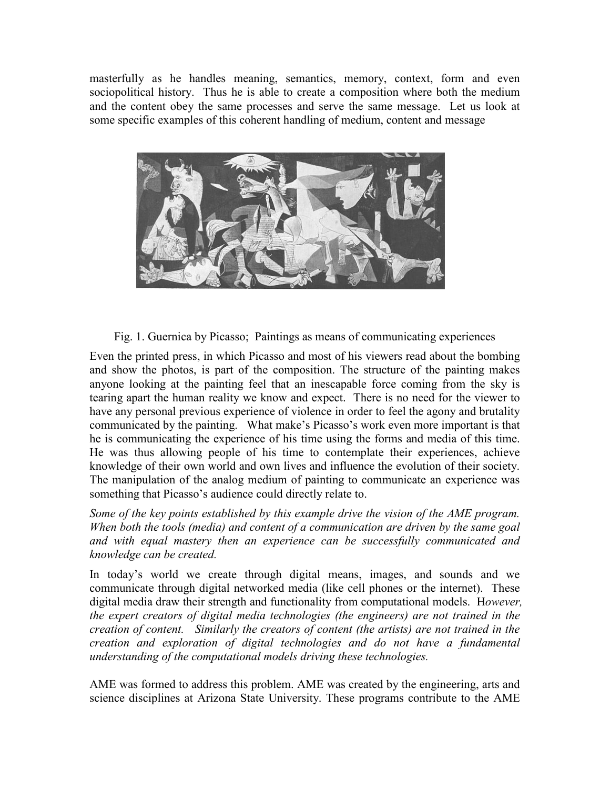masterfully as he handles meaning, semantics, memory, context, form and even sociopolitical history. Thus he is able to create a composition where both the medium and the content obey the same processes and serve the same message. Let us look at some specific examples of this coherent handling of medium, content and message



Fig. 1. Guernica by Picasso; Paintings as means of communicating experiences

Even the printed press, in which Picasso and most of his viewers read about the bombing and show the photos, is part of the composition. The structure of the painting makes anyone looking at the painting feel that an inescapable force coming from the sky is tearing apart the human reality we know and expect. There is no need for the viewer to have any personal previous experience of violence in order to feel the agony and brutality communicated by the painting. What make's Picasso's work even more important is that he is communicating the experience of his time using the forms and media of this time. He was thus allowing people of his time to contemplate their experiences, achieve knowledge of their own world and own lives and influence the evolution of their society. The manipulation of the analog medium of painting to communicate an experience was something that Picasso's audience could directly relate to.

Some of the key points established by this example drive the vision of the AME program. When both the tools (media) and content of a communication are driven by the same goal and with equal mastery then an experience can be successfully communicated and knowledge can be created.

In today's world we create through digital means, images, and sounds and we communicate through digital networked media (like cell phones or the internet). These digital media draw their strength and functionality from computational models. However, the expert creators of digital media technologies (the engineers) are not trained in the creation of content. Similarly the creators of content (the artists) are not trained in the creation and exploration of digital technologies and do not have a fundamental understanding of the computational models driving these technologies.

AME was formed to address this problem. AME was created by the engineering, arts and science disciplines at Arizona State University. These programs contribute to the AME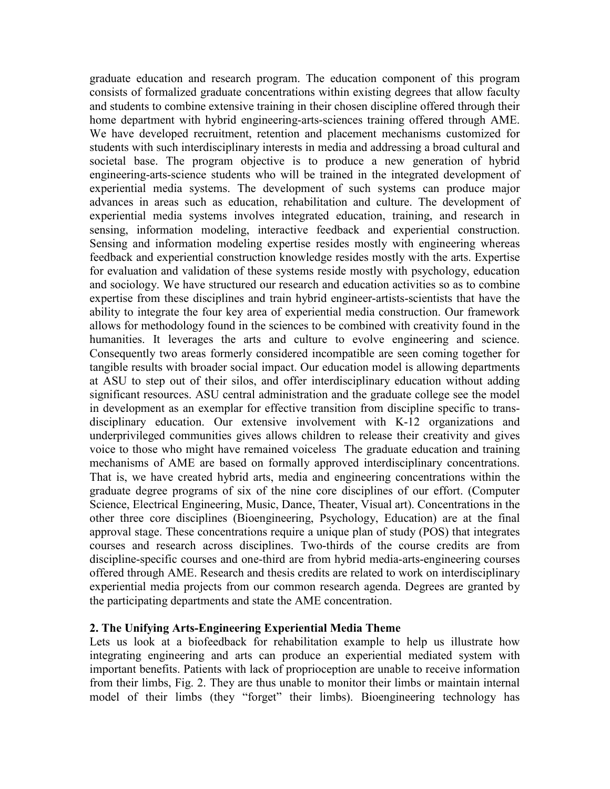graduate education and research program. The education component of this program consists of formalized graduate concentrations within existing degrees that allow faculty and students to combine extensive training in their chosen discipline offered through their home department with hybrid engineering-arts-sciences training offered through AME. We have developed recruitment, retention and placement mechanisms customized for students with such interdisciplinary interests in media and addressing a broad cultural and societal base. The program objective is to produce a new generation of hybrid engineering-arts-science students who will be trained in the integrated development of experiential media systems. The development of such systems can produce major advances in areas such as education, rehabilitation and culture. The development of experiential media systems involves integrated education, training, and research in sensing, information modeling, interactive feedback and experiential construction. Sensing and information modeling expertise resides mostly with engineering whereas feedback and experiential construction knowledge resides mostly with the arts. Expertise for evaluation and validation of these systems reside mostly with psychology, education and sociology. We have structured our research and education activities so as to combine expertise from these disciplines and train hybrid engineer-artists-scientists that have the ability to integrate the four key area of experiential media construction. Our framework allows for methodology found in the sciences to be combined with creativity found in the humanities. It leverages the arts and culture to evolve engineering and science. Consequently two areas formerly considered incompatible are seen coming together for tangible results with broader social impact. Our education model is allowing departments at ASU to step out of their silos, and offer interdisciplinary education without adding significant resources. ASU central administration and the graduate college see the model in development as an exemplar for effective transition from discipline specific to transdisciplinary education. Our extensive involvement with K-12 organizations and underprivileged communities gives allows children to release their creativity and gives voice to those who might have remained voiceless The graduate education and training mechanisms of AME are based on formally approved interdisciplinary concentrations. That is, we have created hybrid arts, media and engineering concentrations within the graduate degree programs of six of the nine core disciplines of our effort. (Computer Science, Electrical Engineering, Music, Dance, Theater, Visual art). Concentrations in the other three core disciplines (Bioengineering, Psychology, Education) are at the final approval stage. These concentrations require a unique plan of study (POS) that integrates courses and research across disciplines. Two-thirds of the course credits are from discipline-specific courses and one-third are from hybrid media-arts-engineering courses offered through AME. Research and thesis credits are related to work on interdisciplinary experiential media projects from our common research agenda. Degrees are granted by the participating departments and state the AME concentration.

### 2. The Unifying Arts-Engineering Experiential Media Theme

Lets us look at a biofeedback for rehabilitation example to help us illustrate how integrating engineering and arts can produce an experiential mediated system with important benefits. Patients with lack of proprioception are unable to receive information from their limbs, Fig. 2. They are thus unable to monitor their limbs or maintain internal model of their limbs (they "forget" their limbs). Bioengineering technology has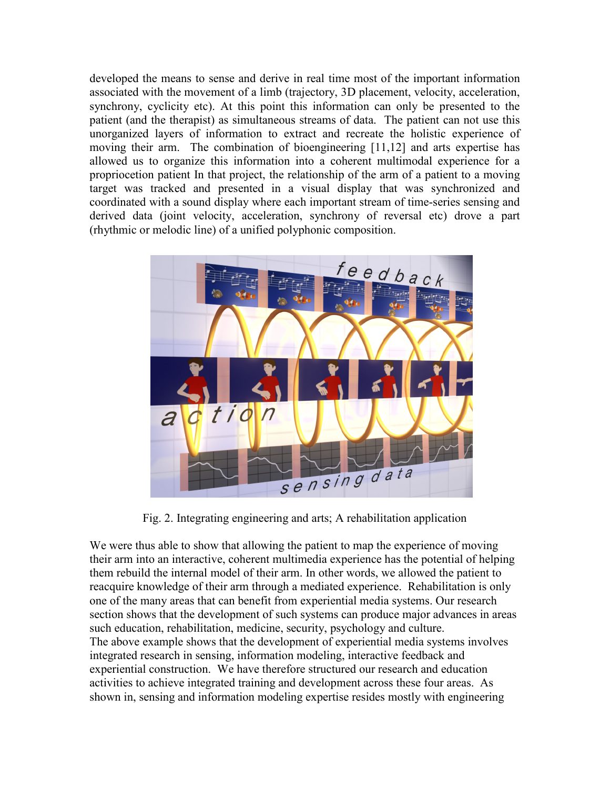developed the means to sense and derive in real time most of the important information associated with the movement of a limb (trajectory, 3D placement, velocity, acceleration, synchrony, cyclicity etc). At this point this information can only be presented to the patient (and the therapist) as simultaneous streams of data. The patient can not use this unorganized layers of information to extract and recreate the holistic experience of moving their arm. The combination of bioengineering [11,12] and arts expertise has allowed us to organize this information into a coherent multimodal experience for a propriocetion patient In that project, the relationship of the arm of a patient to a moving target was tracked and presented in a visual display that was synchronized and coordinated with a sound display where each important stream of time-series sensing and derived data (joint velocity, acceleration, synchrony of reversal etc) drove a part (rhythmic or melodic line) of a unified polyphonic composition.



Fig. 2. Integrating engineering and arts; A rehabilitation application

We were thus able to show that allowing the patient to map the experience of moving their arm into an interactive, coherent multimedia experience has the potential of helping them rebuild the internal model of their arm. In other words, we allowed the patient to reacquire knowledge of their arm through a mediated experience. Rehabilitation is only one of the many areas that can benefit from experiential media systems. Our research section shows that the development of such systems can produce major advances in areas such education, rehabilitation, medicine, security, psychology and culture. The above example shows that the development of experiential media systems involves integrated research in sensing, information modeling, interactive feedback and experiential construction. We have therefore structured our research and education activities to achieve integrated training and development across these four areas. As shown in, sensing and information modeling expertise resides mostly with engineering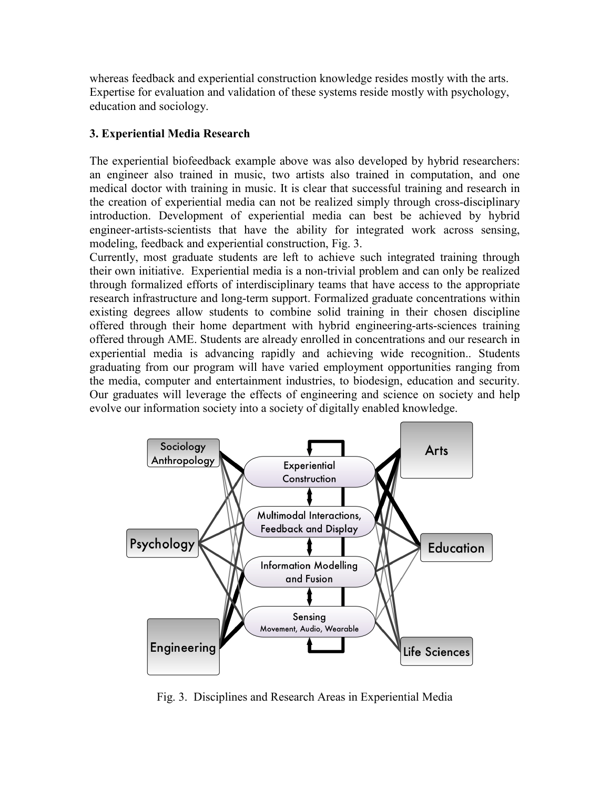whereas feedback and experiential construction knowledge resides mostly with the arts. Expertise for evaluation and validation of these systems reside mostly with psychology, education and sociology.

# 3. Experiential Media Research

The experiential biofeedback example above was also developed by hybrid researchers: an engineer also trained in music, two artists also trained in computation, and one medical doctor with training in music. It is clear that successful training and research in the creation of experiential media can not be realized simply through cross-disciplinary introduction. Development of experiential media can best be achieved by hybrid engineer-artists-scientists that have the ability for integrated work across sensing, modeling, feedback and experiential construction, Fig. 3.

Currently, most graduate students are left to achieve such integrated training through their own initiative. Experiential media is a non-trivial problem and can only be realized through formalized efforts of interdisciplinary teams that have access to the appropriate research infrastructure and long-term support. Formalized graduate concentrations within existing degrees allow students to combine solid training in their chosen discipline offered through their home department with hybrid engineering-arts-sciences training offered through AME. Students are already enrolled in concentrations and our research in experiential media is advancing rapidly and achieving wide recognition.. Students graduating from our program will have varied employment opportunities ranging from the media, computer and entertainment industries, to biodesign, education and security. Our graduates will leverage the effects of engineering and science on society and help evolve our information society into a society of digitally enabled knowledge.



Fig. 3. Disciplines and Research Areas in Experiential Media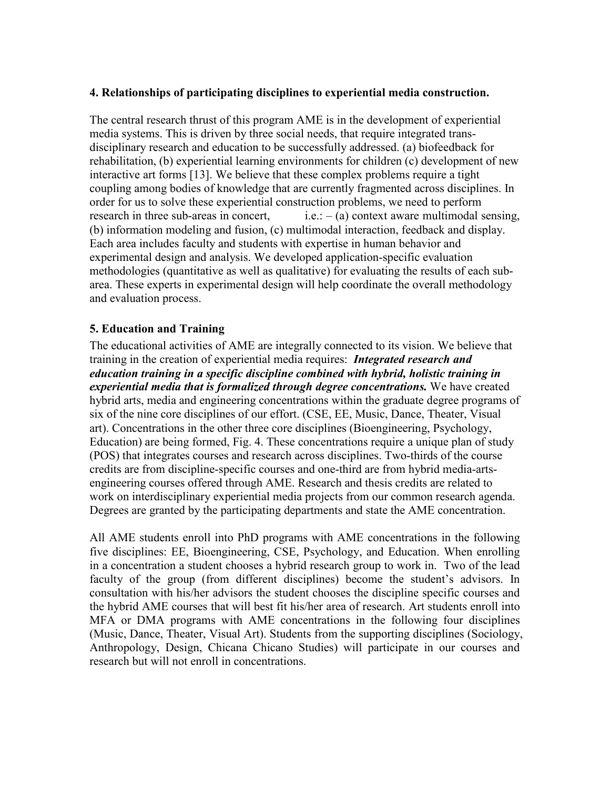### 4. Relationships of participating disciplines to experiential media construction.

The central research thrust of this program AME is in the development of experiential media systems. This is driven by three social needs, that require integrated transdisciplinary research and education to be successfully addressed. (a) biofeedback for rehabilitation, (b) experiential learning environments for children (c) development of new interactive art forms [13]. We believe that these complex problems require a tight coupling among bodies of knowledge that are currently fragmented across disciplines. In order for us to solve these experiential construction problems, we need to perform research in three sub-areas in concert, i.e.:  $-(a)$  context aware multimodal sensing, (b) information modeling and fusion, (c) multimodal interaction, feedback and display. Each area includes faculty and students with expertise in human behavior and experimental design and analysis. We developed application-specific evaluation methodologies (quantitative as well as qualitative) for evaluating the results of each subarea. These experts in experimental design will help coordinate the overall methodology and evaluation process.

### 5. Education and Training

The educational activities of AME are integrally connected to its vision. We believe that training in the creation of experiential media requires: *Integrated research and* education training in a specific discipline combined with hybrid, holistic training in experiential media that is formalized through degree concentrations. We have created hybrid arts, media and engineering concentrations within the graduate degree programs of six of the nine core disciplines of our effort. (CSE, EE, Music, Dance, Theater, Visual art). Concentrations in the other three core disciplines (Bioengineering, Psychology, Education) are being formed, Fig. 4. These concentrations require a unique plan of study (POS) that integrates courses and research across disciplines. Two-thirds of the course credits are from discipline-specific courses and one-third are from hybrid media-artsengineering courses offered through AME. Research and thesis credits are related to work on interdisciplinary experiential media projects from our common research agenda. Degrees are granted by the participating departments and state the AME concentration.

All AME students enroll into PhD programs with AME concentrations in the following five disciplines: EE, Bioengineering, CSE, Psychology, and Education. When enrolling in a concentration a student chooses a hybrid research group to work in. Two of the lead faculty of the group (from different disciplines) become the student's advisors. In consultation with his/her advisors the student chooses the discipline specific courses and the hybrid AME courses that will best fit his/her area of research. Art students enroll into MFA or DMA programs with AME concentrations in the following four disciplines (Music, Dance, Theater, Visual Art). Students from the supporting disciplines (Sociology, Anthropology, Design, Chicana Chicano Studies) will participate in our courses and research but will not enroll in concentrations.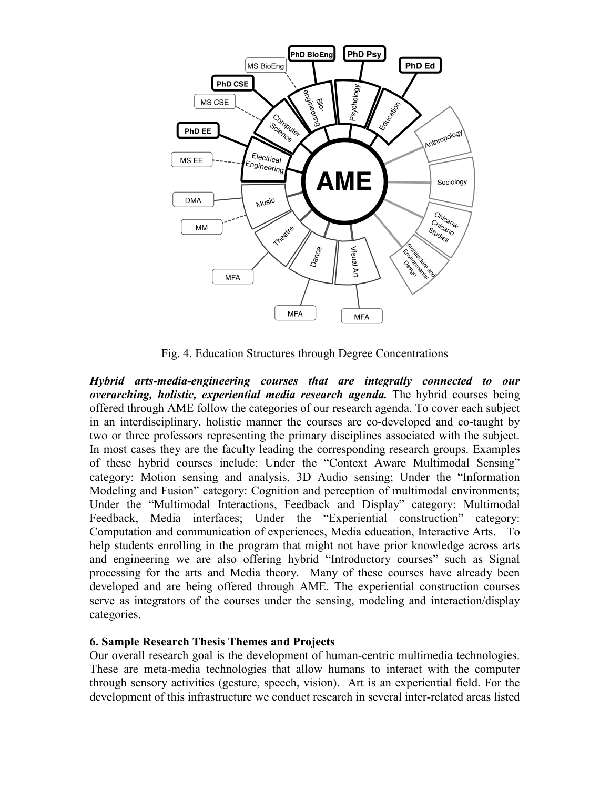

Fig. 4. Education Structures through Degree Concentrations

Hybrid arts-media-engineering courses that are integrally connected to our overarching, holistic, experiential media research agenda. The hybrid courses being offered through AME follow the categories of our research agenda. To cover each subject in an interdisciplinary, holistic manner the courses are co-developed and co-taught by two or three professors representing the primary disciplines associated with the subject. In most cases they are the faculty leading the corresponding research groups. Examples of these hybrid courses include: Under the "Context Aware Multimodal Sensing" category: Motion sensing and analysis, 3D Audio sensing; Under the "Information Modeling and Fusion" category: Cognition and perception of multimodal environments; Under the "Multimodal Interactions, Feedback and Display" category: Multimodal Feedback, Media interfaces; Under the "Experiential construction" category: Computation and communication of experiences, Media education, Interactive Arts. To help students enrolling in the program that might not have prior knowledge across arts and engineering we are also offering hybrid "Introductory courses" such as Signal processing for the arts and Media theory. Many of these courses have already been developed and are being offered through AME. The experiential construction courses serve as integrators of the courses under the sensing, modeling and interaction/display categories.

### 6. Sample Research Thesis Themes and Projects

Our overall research goal is the development of human-centric multimedia technologies. These are meta-media technologies that allow humans to interact with the computer through sensory activities (gesture, speech, vision). Art is an experiential field. For the development of this infrastructure we conduct research in several inter-related areas listed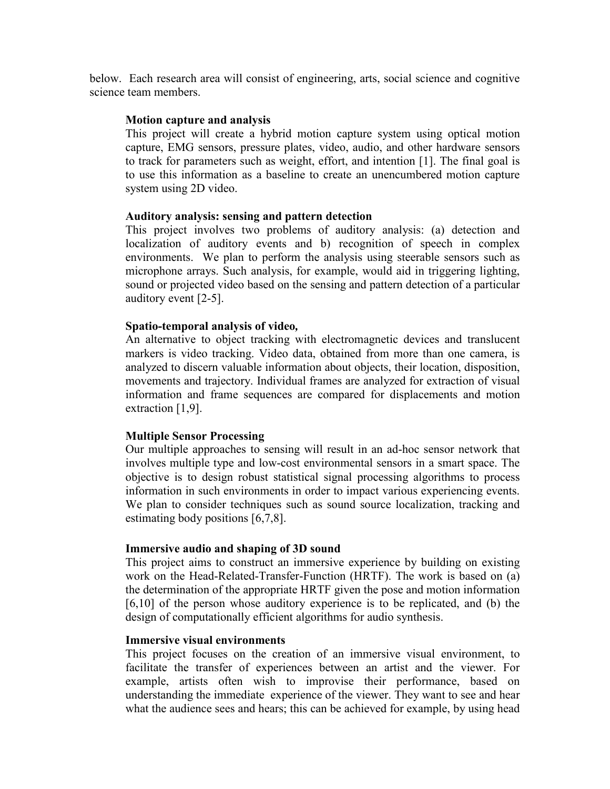below. Each research area will consist of engineering, arts, social science and cognitive science team members.

#### Motion capture and analysis

This project will create a hybrid motion capture system using optical motion capture, EMG sensors, pressure plates, video, audio, and other hardware sensors to track for parameters such as weight, effort, and intention [1]. The final goal is to use this information as a baseline to create an unencumbered motion capture system using 2D video.

#### Auditory analysis: sensing and pattern detection

This project involves two problems of auditory analysis: (a) detection and localization of auditory events and b) recognition of speech in complex environments. We plan to perform the analysis using steerable sensors such as microphone arrays. Such analysis, for example, would aid in triggering lighting, sound or projected video based on the sensing and pattern detection of a particular auditory event [2-5].

#### Spatio-temporal analysis of video,

An alternative to object tracking with electromagnetic devices and translucent markers is video tracking. Video data, obtained from more than one camera, is analyzed to discern valuable information about objects, their location, disposition, movements and trajectory. Individual frames are analyzed for extraction of visual information and frame sequences are compared for displacements and motion extraction [1,9].

### Multiple Sensor Processing

Our multiple approaches to sensing will result in an ad-hoc sensor network that involves multiple type and low-cost environmental sensors in a smart space. The objective is to design robust statistical signal processing algorithms to process information in such environments in order to impact various experiencing events. We plan to consider techniques such as sound source localization, tracking and estimating body positions [6,7,8].

#### Immersive audio and shaping of 3D sound

This project aims to construct an immersive experience by building on existing work on the Head-Related-Transfer-Function (HRTF). The work is based on (a) the determination of the appropriate HRTF given the pose and motion information [6,10] of the person whose auditory experience is to be replicated, and (b) the design of computationally efficient algorithms for audio synthesis.

#### Immersive visual environments

This project focuses on the creation of an immersive visual environment, to facilitate the transfer of experiences between an artist and the viewer. For example, artists often wish to improvise their performance, based on understanding the immediate experience of the viewer. They want to see and hear what the audience sees and hears; this can be achieved for example, by using head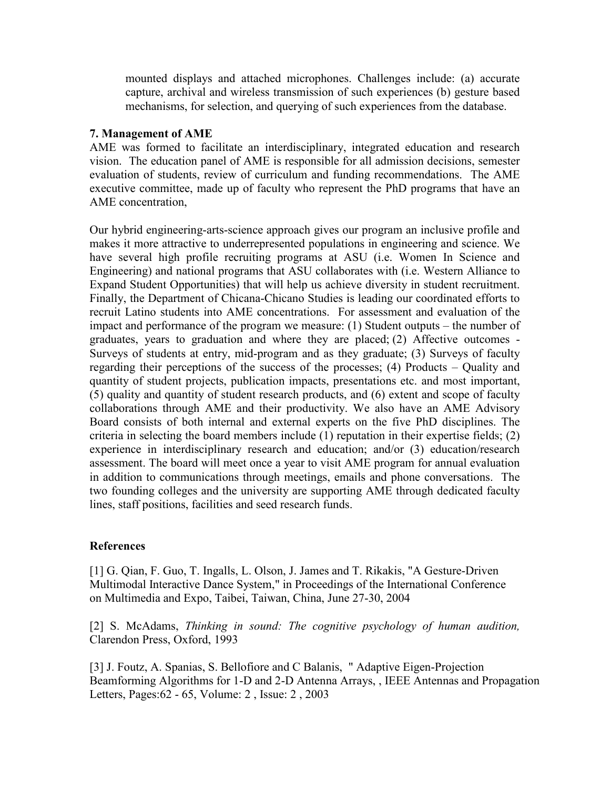mounted displays and attached microphones. Challenges include: (a) accurate capture, archival and wireless transmission of such experiences (b) gesture based mechanisms, for selection, and querying of such experiences from the database.

### 7. Management of AME

AME was formed to facilitate an interdisciplinary, integrated education and research vision. The education panel of AME is responsible for all admission decisions, semester evaluation of students, review of curriculum and funding recommendations. The AME executive committee, made up of faculty who represent the PhD programs that have an AME concentration,

Our hybrid engineering-arts-science approach gives our program an inclusive profile and makes it more attractive to underrepresented populations in engineering and science. We have several high profile recruiting programs at ASU (i.e. Women In Science and Engineering) and national programs that ASU collaborates with (i.e. Western Alliance to Expand Student Opportunities) that will help us achieve diversity in student recruitment. Finally, the Department of Chicana-Chicano Studies is leading our coordinated efforts to recruit Latino students into AME concentrations. For assessment and evaluation of the impact and performance of the program we measure: (1) Student outputs – the number of graduates, years to graduation and where they are placed; (2) Affective outcomes - Surveys of students at entry, mid-program and as they graduate; (3) Surveys of faculty regarding their perceptions of the success of the processes; (4) Products – Quality and quantity of student projects, publication impacts, presentations etc. and most important, (5) quality and quantity of student research products, and (6) extent and scope of faculty collaborations through AME and their productivity. We also have an AME Advisory Board consists of both internal and external experts on the five PhD disciplines. The criteria in selecting the board members include (1) reputation in their expertise fields; (2) experience in interdisciplinary research and education; and/or (3) education/research assessment. The board will meet once a year to visit AME program for annual evaluation in addition to communications through meetings, emails and phone conversations. The two founding colleges and the university are supporting AME through dedicated faculty lines, staff positions, facilities and seed research funds.

# References

[1] G. Qian, F. Guo, T. Ingalls, L. Olson, J. James and T. Rikakis, "A Gesture-Driven Multimodal Interactive Dance System," in Proceedings of the International Conference on Multimedia and Expo, Taibei, Taiwan, China, June 27-30, 2004

[2] S. McAdams, Thinking in sound: The cognitive psychology of human audition, Clarendon Press, Oxford, 1993

[3] J. Foutz, A. Spanias, S. Bellofiore and C Balanis, " Adaptive Eigen-Projection Beamforming Algorithms for 1-D and 2-D Antenna Arrays, , IEEE Antennas and Propagation Letters, Pages:62 - 65, Volume: 2 , Issue: 2 , 2003